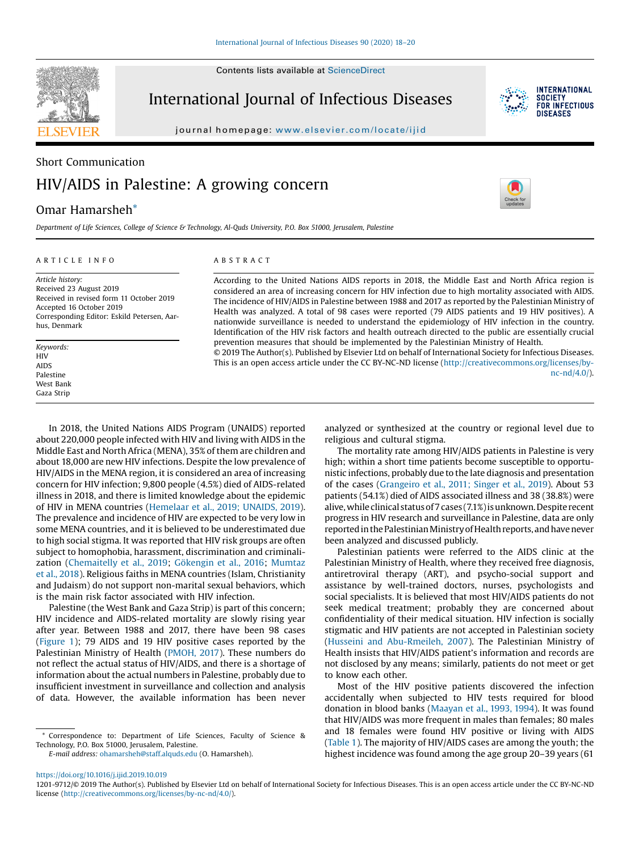Contents lists available at [ScienceDirect](http://www.sciencedirect.com/science/journal/12019712)



International Journal of Infectious Diseases



journal homepage: <www.elsevier.com/locate/ijid>

# Short Communication HIV/AIDS in Palestine: A growing concern

## Omar Hamarsheh\*

Department of Life Sciences, College of Science & Technology, Al-Quds University, P.O. Box 51000, Jerusalem, Palestine

#### A R T I C L E I N F O

## A B S T R A C T

Article history: Received 23 August 2019 Received in revised form 11 October 2019 Accepted 16 October 2019 Corresponding Editor: Eskild Petersen, Aarhus, Denmark

Keywords: HIV AIDS Palestine West Bank Gaza Strip

According to the United Nations AIDS reports in 2018, the Middle East and North Africa region is considered an area of increasing concern for HIV infection due to high mortality associated with AIDS. The incidence of HIV/AIDS in Palestine between 1988 and 2017 as reported by the Palestinian Ministry of Health was analyzed. A total of 98 cases were reported (79 AIDS patients and 19 HIV positives). A nationwide surveillance is needed to understand the epidemiology of HIV infection in the country. Identification of the HIV risk factors and health outreach directed to the public are essentially crucial prevention measures that should be implemented by the Palestinian Ministry of Health.

© 2019 The Author(s). Published by Elsevier Ltd on behalf of International Society for Infectious Diseases. This is an open access article under the CC BY-NC-ND license ([http://creativecommons.org/licenses/by](http://creativecommons.org/licenses/by-nc-nd/4.0/)[nc-nd/4.0/](http://creativecommons.org/licenses/by-nc-nd/4.0/)).

In 2018, the United Nations AIDS Program (UNAIDS) reported about 220,000 people infected with HIV and living with AIDS in the Middle East and North Africa (MENA), 35% of them are children and about 18,000 are new HIV infections. Despite the low prevalence of HIV/AIDS in the MENA region, it is considered an area of increasing concern for HIV infection; 9,800 people (4.5%) died of AIDS-related illness in 2018, and there is limited knowledge about the epidemic of HIV in MENA countries [\(Hemelaar](#page-1-0) et al., 2019; UNAIDS, 2019). The prevalence and incidence of HIV are expected to be very low in some MENA countries, and it is believed to be underestimated due to high social stigma. It was reported that HIV risk groups are often subject to homophobia, harassment, discrimination and criminalization ([Chemaitelly](#page-1-0) et al., 2019; [Gökengin](#page-1-0) et al., 2016; [Mumtaz](#page-2-0) et al., [2018\)](#page-2-0). Religious faiths in MENA countries (Islam, Christianity and Judaism) do not support non-marital sexual behaviors, which is the main risk factor associated with HIV infection.

Palestine (the West Bank and Gaza Strip) is part of this concern; HIV incidence and AIDS-related mortality are slowly rising year after year. Between 1988 and 2017, there have been 98 cases ([Figure](#page-1-0) 1); 79 AIDS and 19 HIV positive cases reported by the Palestinian Ministry of Health ([PMOH,](#page-2-0) 2017). These numbers do not reflect the actual status of HIV/AIDS, and there is a shortage of information about the actual numbers in Palestine, probably due to insufficient investment in surveillance and collection and analysis of data. However, the available information has been never

\* Correspondence to: Department of Life Sciences, Faculty of Science & Technology, P.O. Box 51000, Jerusalem, Palestine.

E-mail address: [ohamarsheh@staff.alquds.edu](mailto:ohamarsheh@staff.alquds.edu) (O. Hamarsheh).

analyzed or synthesized at the country or regional level due to religious and cultural stigma.

The mortality rate among HIV/AIDS patients in Palestine is very high; within a short time patients become susceptible to opportunistic infections, probably due to the late diagnosis and presentation of the cases [\(Grangeiro](#page-1-0) et al., 2011; Singer et al., 2019). About 53 patients (54.1%) died of AIDS associated illness and 38 (38.8%) were alive, while clinical status of 7 cases (7.1%) is unknown. Despite recent progress in HIV research and surveillance in Palestine, data are only reported in the Palestinian Ministry of Health reports, and have never been analyzed and discussed publicly.

Palestinian patients were referred to the AIDS clinic at the Palestinian Ministry of Health, where they received free diagnosis, antiretroviral therapy (ART), and psycho-social support and assistance by well-trained doctors, nurses, psychologists and social specialists. It is believed that most HIV/AIDS patients do not seek medical treatment; probably they are concerned about confidentiality of their medical situation. HIV infection is socially stigmatic and HIV patients are not accepted in Palestinian society (Husseini and [Abu-Rmeileh,](#page-2-0) 2007). The Palestinian Ministry of Health insists that HIV/AIDS patient's information and records are not disclosed by any means; similarly, patients do not meet or get to know each other.

Most of the HIV positive patients discovered the infection accidentally when subjected to HIV tests required for blood donation in blood banks ([Maayan](#page-2-0) et al., 1993, 1994). It was found that HIV/AIDS was more frequent in males than females; 80 males and 18 females were found HIV positive or living with AIDS ([Table](#page-1-0) 1). The majority of HIV/AIDS cases are among the youth; the highest incidence was found among the age group 20–39 years (61

<https://doi.org/10.1016/j.ijid.2019.10.019>

<sup>1201-9712/©</sup> 2019 The Author(s). Published by Elsevier Ltd on behalf of International Society for Infectious Diseases. This is an open access article under the CC BY-NC-ND license [\(http://creativecommons.org/licenses/by-nc-nd/4.0/\)](http://creativecommons.org/licenses/by-nc-nd/4.0/).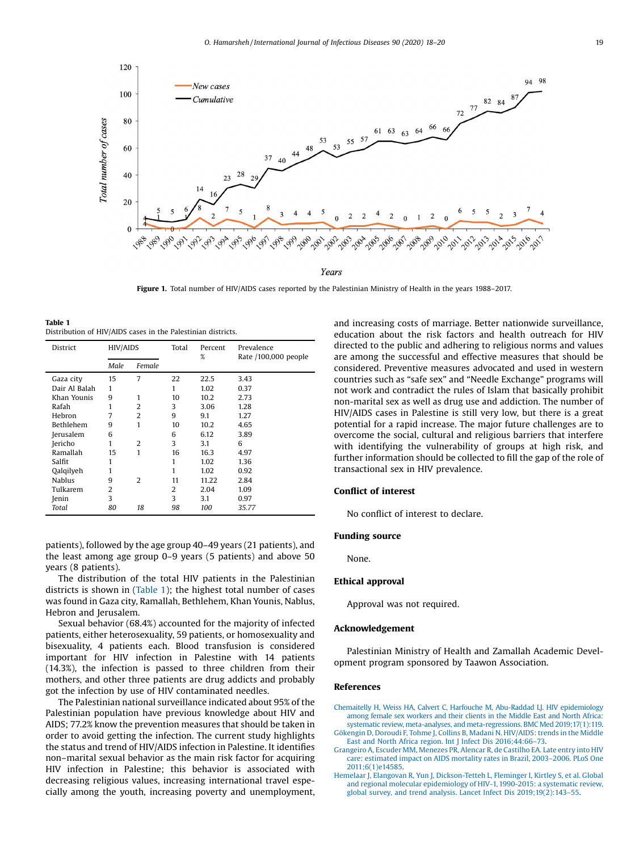<span id="page-1-0"></span>

Figure 1. Total number of HIV/AIDS cases reported by the Palestinian Ministry of Health in the years 1988-2017.

Table 1 Distribution of HIV/AIDS cases in the Palestinian districts.

| District         | <b>HIV/AIDS</b> |                | Total | Percent<br>% | Prevalence<br>Rate /100,000 people |
|------------------|-----------------|----------------|-------|--------------|------------------------------------|
|                  | Male            | Female         |       |              |                                    |
| Gaza city        | 15              | 7              | 22    | 22.5         | 3.43                               |
| Dair Al Balah    | 1               |                | 1     | 1.02         | 0.37                               |
| Khan Younis      | 9               | 1              | 10    | 10.2         | 2.73                               |
| Rafah            | 1               | $\overline{2}$ | 3     | 3.06         | 1.28                               |
| Hebron           | 7               | $\overline{2}$ | 9     | 9.1          | 1.27                               |
| <b>Bethlehem</b> | 9               | 1              | 10    | 10.2         | 4.65                               |
| Jerusalem        | 6               |                | 6     | 6.12         | 3.89                               |
| Jericho          | 1               | 2              | 3     | 3.1          | 6                                  |
| Ramallah         | 15              | 1              | 16    | 16.3         | 4.97                               |
| Salfit           | 1               |                | 1     | 1.02         | 1.36                               |
| Qalqilyeh        | 1               |                | 1     | 1.02         | 0.92                               |
| <b>Nablus</b>    | 9               | 2              | 11    | 11.22        | 2.84                               |
| Tulkarem         | $\overline{2}$  |                | 2     | 2.04         | 1.09                               |
| Jenin            | 3               |                | 3     | 3.1          | 0.97                               |
| Total            | 80              | 18             | 98    | 100          | 35.77                              |

patients), followed by the age group 40–49 years (21 patients), and the least among age group 0–9 years (5 patients) and above 50 years (8 patients).

The distribution of the total HIV patients in the Palestinian districts is shown in (Table 1); the highest total number of cases was found in Gaza city, Ramallah, Bethlehem, Khan Younis, Nablus, Hebron and Jerusalem.

Sexual behavior (68.4%) accounted for the majority of infected patients, either heterosexuality, 59 patients, or homosexuality and bisexuality, 4 patients each. Blood transfusion is considered important for HIV infection in Palestine with 14 patients (14.3%), the infection is passed to three children from their mothers, and other three patients are drug addicts and probably got the infection by use of HIV contaminated needles.

The Palestinian national surveillance indicated about 95% of the Palestinian population have previous knowledge about HIV and AIDS; 77.2% know the prevention measures that should be taken in order to avoid getting the infection. The current study highlights the status and trend of HIV/AIDS infection in Palestine. It identifies non–marital sexual behavior as the main risk factor for acquiring HIV infection in Palestine; this behavior is associated with decreasing religious values, increasing international travel especially among the youth, increasing poverty and unemployment, and increasing costs of marriage. Better nationwide surveillance, education about the risk factors and health outreach for HIV directed to the public and adhering to religious norms and values are among the successful and effective measures that should be considered. Preventive measures advocated and used in western countries such as "safe sex" and "Needle Exchange" programs will not work and contradict the rules of Islam that basically prohibit non-marital sex as well as drug use and addiction. The number of HIV/AIDS cases in Palestine is still very low, but there is a great potential for a rapid increase. The major future challenges are to overcome the social, cultural and religious barriers that interfere with identifying the vulnerability of groups at high risk, and further information should be collected to fill the gap of the role of transactional sex in HIV prevalence.

#### Conflict of interest

No conflict of interest to declare.

#### Funding source

None.

#### Ethical approval

Approval was not required.

#### Acknowledgement

Palestinian Ministry of Health and Zamallah Academic Development program sponsored by Taawon Association.

### References

- Chemaitelly H, Weiss HA, Calvert C, Harfouche M, Abu-Raddad LJ. HIV [epidemiology](http://refhub.elsevier.com/S1201-9712(19)30412-6/sbref0005) among female sex [workers](http://refhub.elsevier.com/S1201-9712(19)30412-6/sbref0005) and their clients in the Middle East and North Africa: systematic review, meta-analyses, and [meta-regressions.](http://refhub.elsevier.com/S1201-9712(19)30412-6/sbref0005) BMC Med 2019;17(1):119.
- Gökengin D, Doroudi F, Tohme J, Collins B, Madani N. [HIV/AIDS:](http://refhub.elsevier.com/S1201-9712(19)30412-6/sbref0010) trends in the Middle East and North Africa region. Int J Infect Dis [2016;44:66](http://refhub.elsevier.com/S1201-9712(19)30412-6/sbref0010)–73.
- [Grangeiro](http://refhub.elsevier.com/S1201-9712(19)30412-6/sbref0015) A, Escuder MM, Menezes PR, Alencar R, de Castilho EA. Late entry into HIV care: [estimated](http://refhub.elsevier.com/S1201-9712(19)30412-6/sbref0015) impact on AIDS mortality rates in Brazil, 2003–2006. PLoS One [2011;6\(1\)e14585](http://refhub.elsevier.com/S1201-9712(19)30412-6/sbref0015).
- Hemelaar J, Elangovan R, Yun J, [Dickson-Tetteh](http://refhub.elsevier.com/S1201-9712(19)30412-6/sbref0020) L, Fleminger I, Kirtley S, et al. Global and regional molecular [epidemiology](http://refhub.elsevier.com/S1201-9712(19)30412-6/sbref0020) of HIV-1, 1990-2015: a systematic review, global survey, and trend analysis. Lancet Infect Dis [2019;19\(2\):143](http://refhub.elsevier.com/S1201-9712(19)30412-6/sbref0020)–55.